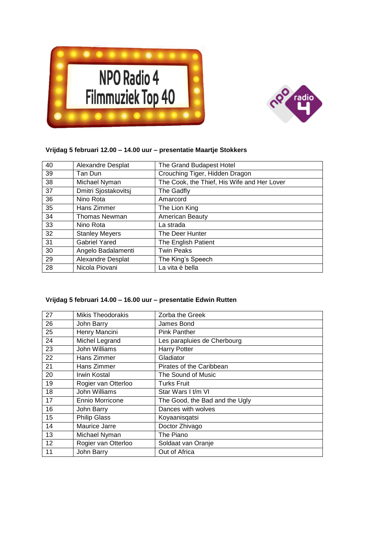



## **Vrijdag 5 februari 12.00 – 14.00 uur – presentatie Maartje Stokkers**

| 40 | Alexandre Desplat     | The Grand Budapest Hotel                    |
|----|-----------------------|---------------------------------------------|
| 39 | Tan Dun               | Crouching Tiger, Hidden Dragon              |
| 38 | Michael Nyman         | The Cook, the Thief, His Wife and Her Lover |
| 37 | Dmitri Sjostakovitsj  | The Gadfly                                  |
| 36 | Nino Rota             | Amarcord                                    |
| 35 | Hans Zimmer           | The Lion King                               |
| 34 | <b>Thomas Newman</b>  | American Beauty                             |
| 33 | Nino Rota             | La strada                                   |
| 32 | <b>Stanley Meyers</b> | The Deer Hunter                             |
| 31 | <b>Gabriel Yared</b>  | The English Patient                         |
| 30 | Angelo Badalamenti    | <b>Twin Peaks</b>                           |
| 29 | Alexandre Desplat     | The King's Speech                           |
| 28 | Nicola Piovani        | La vita è bella                             |

## **Vrijdag 5 februari 14.00 – 16.00 uur – presentatie Edwin Rutten**

| 27 | <b>Mikis Theodorakis</b> | Zorba the Greek                |
|----|--------------------------|--------------------------------|
| 26 | John Barry               | James Bond                     |
| 25 | Henry Mancini            | <b>Pink Panther</b>            |
| 24 | Michel Legrand           | Les parapluies de Cherbourg    |
| 23 | John Williams            | <b>Harry Potter</b>            |
| 22 | Hans Zimmer              | Gladiator                      |
| 21 | Hans Zimmer              | Pirates of the Caribbean       |
| 20 | <b>Irwin Kostal</b>      | The Sound of Music             |
| 19 | Rogier van Otterloo      | <b>Turks Fruit</b>             |
| 18 | John Williams            | Star Wars I t/m VI             |
| 17 | Ennio Morricone          | The Good, the Bad and the Ugly |
| 16 | John Barry               | Dances with wolves             |
| 15 | <b>Philip Glass</b>      | Koyaanisqatsi                  |
| 14 | Maurice Jarre            | Doctor Zhivago                 |
| 13 | Michael Nyman            | The Piano                      |
| 12 | Rogier van Otterloo      | Soldaat van Oranje             |
| 11 | John Barry               | Out of Africa                  |